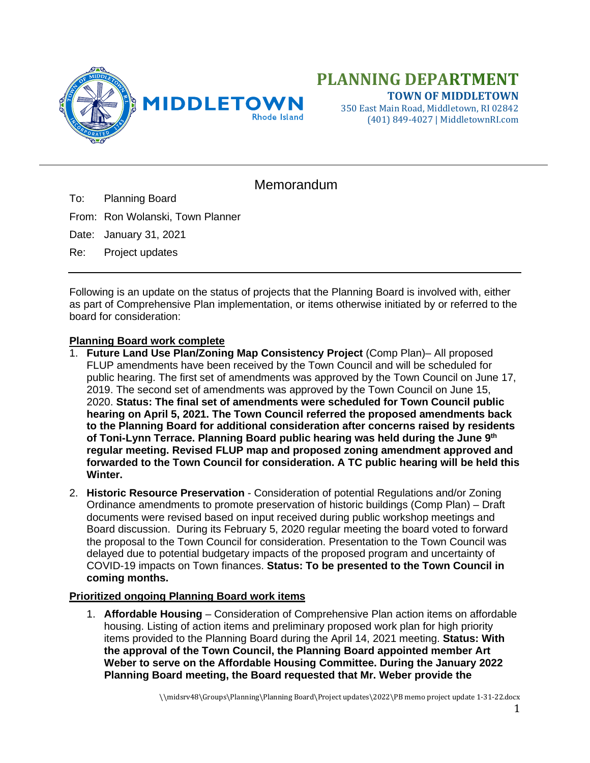

350 East Main Road, Middletown, RI 02842 (401) 849-4027 | MiddletownRI.com

## Memorandum

To: Planning Board

From: Ron Wolanski, Town Planner

Date: January 31, 2021

Re: Project updates

Following is an update on the status of projects that the Planning Board is involved with, either as part of Comprehensive Plan implementation, or items otherwise initiated by or referred to the board for consideration:

## **Planning Board work complete**

- 1. **Future Land Use Plan/Zoning Map Consistency Project** (Comp Plan)– All proposed FLUP amendments have been received by the Town Council and will be scheduled for public hearing. The first set of amendments was approved by the Town Council on June 17, 2019. The second set of amendments was approved by the Town Council on June 15, 2020. **Status: The final set of amendments were scheduled for Town Council public hearing on April 5, 2021. The Town Council referred the proposed amendments back to the Planning Board for additional consideration after concerns raised by residents of Toni-Lynn Terrace. Planning Board public hearing was held during the June 9th regular meeting. Revised FLUP map and proposed zoning amendment approved and forwarded to the Town Council for consideration. A TC public hearing will be held this Winter.**
- 2. **Historic Resource Preservation** Consideration of potential Regulations and/or Zoning Ordinance amendments to promote preservation of historic buildings (Comp Plan) – Draft documents were revised based on input received during public workshop meetings and Board discussion. During its February 5, 2020 regular meeting the board voted to forward the proposal to the Town Council for consideration. Presentation to the Town Council was delayed due to potential budgetary impacts of the proposed program and uncertainty of COVID-19 impacts on Town finances. **Status: To be presented to the Town Council in coming months.**

## **Prioritized ongoing Planning Board work items**

1. **Affordable Housing** – Consideration of Comprehensive Plan action items on affordable housing. Listing of action items and preliminary proposed work plan for high priority items provided to the Planning Board during the April 14, 2021 meeting. **Status: With the approval of the Town Council, the Planning Board appointed member Art Weber to serve on the Affordable Housing Committee. During the January 2022 Planning Board meeting, the Board requested that Mr. Weber provide the**